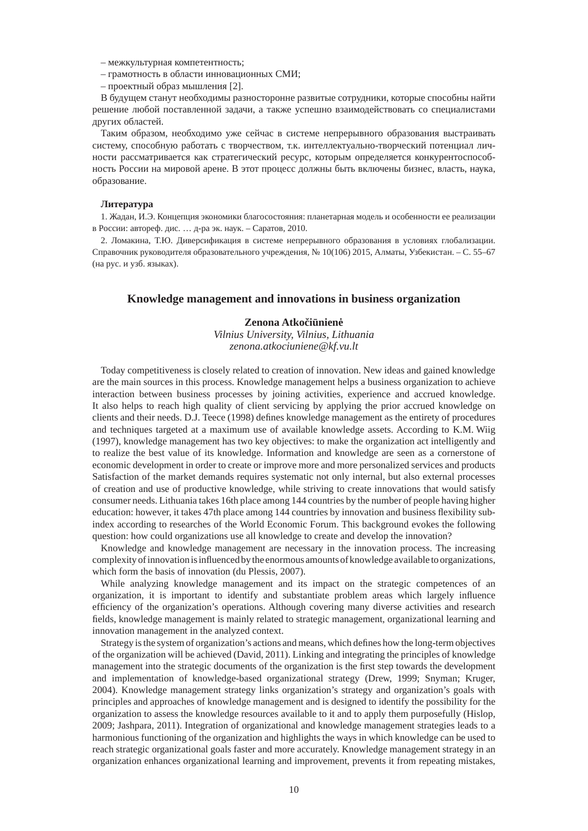– межкультурная компетентность;

- грамотность в области инновационных СМИ;
- проектный образ мышления [2].

В будущем станут необходимы разносторонне развитые сотрудники, которые способны найти решение любой поставленной задачи, а также успешно взаимодействовать со специалистами других областей.

Таким образом, необходимо уже сейчас в системе непрерывного образования выстраивать систему, способную работать с творчеством, т.к. интеллектуально-творческий потенциал личности рассматривается как стратегический ресурс, которым определяется конкурентоспособность России на мировой арене. В этот процесс должны быть включены бизнес, власть, наука, образование.

## **Литература**

1. Жадан, И.Э. Концепция экономики благосостояния: планетарная модель и особенности ее реализации в России: автореф. дис. … д-ра эк. наук. – Саратов, 2010.

2. Ломакина, Т.Ю. Диверсификация в системе непрерывного образования в условиях глобализации. Справочник руководителя образовательного учреждения, № 10(106) 2015, Алматы, Узбекистан. – С. 55–67 (на рус. и узб. языках).

## **Knowledge management and innovations in business organization**

## **Zenona Atkočiūnienė**

*Vilnius University, Vilnius, Lithuania zenona.atkociuniene@kf.vu.lt*

Today competitiveness is closely related to creation of innovation. New ideas and gained knowledge are the main sources in this process. Knowledge management helps a business organization to achieve interaction between business processes by joining activities, experience and accrued knowledge. It also helps to reach high quality of client servicing by applying the prior accrued knowledge on clients and their needs. D.J. Teece (1998) defines knowledge management as the entirety of procedures and techniques targeted at a maximum use of available knowledge assets. According to K.M. Wiig (1997), knowledge management has two key objectives: to make the organization act intelligently and to realize the best value of its knowledge. Information and knowledge are seen as a cornerstone of economic development in order to create or improve more and more personalized services and products Satisfaction of the market demands requires systematic not only internal, but also external processes of creation and use of productive knowledge, while striving to create innovations that would satisfy consumer needs. Lithuania takes 16th place among 144 countries by the number of people having higher education: however, it takes 47th place among 144 countries by innovation and business flexibility subindex according to researches of the World Economic Forum. This background evokes the following question: how could organizations use all knowledge to create and develop the innovation?

Knowledge and knowledge management are necessary in the innovation process. The increasing complexity of innovation is influenced by the enormous amounts of knowledge available to organizations, which form the basis of innovation (du Plessis, 2007).

While analyzing knowledge management and its impact on the strategic competences of an organization, it is important to identify and substantiate problem areas which largely influence efficiency of the organization's operations. Although covering many diverse activities and research fields, knowledge management is mainly related to strategic management, organizational learning and innovation management in the analyzed context.

Strategy is the system of organization's actions and means, which defines how the long-term objectives of the organization will be achieved (David, 2011). Linking and integrating the principles of knowledge management into the strategic documents of the organization is the first step towards the development and implementation of knowledge-based organizational strategy (Drew, 1999; Snyman; Kruger, 2004). Knowledge management strategy links organization's strategy and organization's goals with principles and approaches of knowledge management and is designed to identify the possibility for the organization to assess the knowledge resources available to it and to apply them purposefully (Hislop, 2009; Jashpara, 2011). Integration of organizational and knowledge management strategies leads to a harmonious functioning of the organization and highlights the ways in which knowledge can be used to reach strategic organizational goals faster and more accurately. Knowledge management strategy in an organization enhances organizational learning and improvement, prevents it from repeating mistakes,